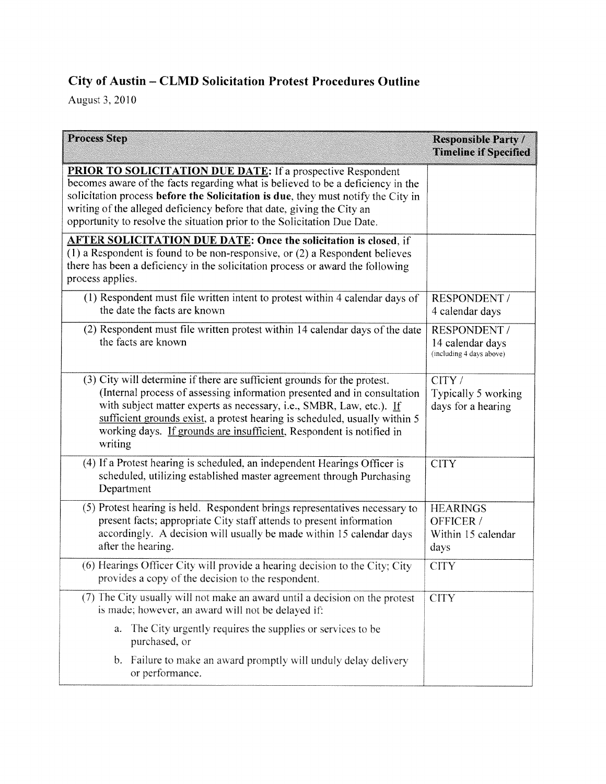## City of Austin — CLMD Solicitation Protest Procedures Outline

August 3.2010

| <b>Process Step</b>                                                                                                                                                                                                                                                                                                                                                                              | <b>Responsible Party /</b><br><b>Timeline if Specified</b>   |
|--------------------------------------------------------------------------------------------------------------------------------------------------------------------------------------------------------------------------------------------------------------------------------------------------------------------------------------------------------------------------------------------------|--------------------------------------------------------------|
| <b>PRIOR TO SOLICITATION DUE DATE:</b> If a prospective Respondent<br>becomes aware of the facts regarding what is believed to be a deficiency in the<br>solicitation process before the Solicitation is due, they must notify the City in<br>writing of the alleged deficiency before that date, giving the City an<br>opportunity to resolve the situation prior to the Solicitation Due Date. |                                                              |
| <b>AFTER SOLICITATION DUE DATE: Once the solicitation is closed, if</b><br>$(1)$ a Respondent is found to be non-responsive, or $(2)$ a Respondent believes<br>there has been a deficiency in the solicitation process or award the following<br>process applies.                                                                                                                                |                                                              |
| (1) Respondent must file written intent to protest within 4 calendar days of<br>the date the facts are known                                                                                                                                                                                                                                                                                     | <b>RESPONDENT /</b><br>4 calendar days                       |
| (2) Respondent must file written protest within 14 calendar days of the date<br>the facts are known                                                                                                                                                                                                                                                                                              | RESPONDENT /<br>14 calendar days<br>(including 4 days above) |
| (3) City will determine if there are sufficient grounds for the protest.<br>(Internal process of assessing information presented and in consultation<br>with subject matter experts as necessary, i.e., SMBR, Law, etc.). If<br>sufficient grounds exist, a protest hearing is scheduled, usually within 5<br>working days. If grounds are insufficient, Respondent is notified in<br>writing    | CITY /<br>Typically 5 working<br>days for a hearing          |
| (4) If a Protest hearing is scheduled, an independent Hearings Officer is<br>scheduled, utilizing established master agreement through Purchasing<br>Department                                                                                                                                                                                                                                  | <b>CITY</b>                                                  |
| (5) Protest hearing is held. Respondent brings representatives necessary to<br>present facts; appropriate City staff attends to present information<br>accordingly. A decision will usually be made within 15 calendar days<br>after the hearing.                                                                                                                                                | <b>HEARINGS</b><br>OFFICER /<br>Within 15 calendar<br>days   |
| (6) Hearings Officer City will provide a hearing decision to the City; City<br>provides a copy of the decision to the respondent.                                                                                                                                                                                                                                                                | <b>CITY</b>                                                  |
| (7) The City usually will not make an award until a decision on the protest<br>is made; however, an award will not be delayed if:                                                                                                                                                                                                                                                                | <b>CITY</b>                                                  |
| a. The City urgently requires the supplies or services to be<br>purchased, or                                                                                                                                                                                                                                                                                                                    |                                                              |
| b. Failure to make an award promptly will unduly delay delivery<br>or performance.                                                                                                                                                                                                                                                                                                               |                                                              |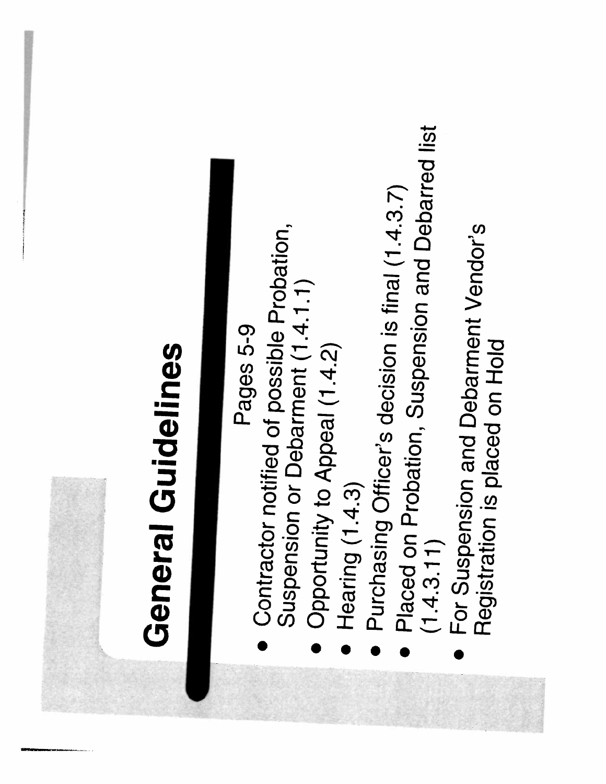## General Guidelines General Guidelines

- Pages 5-9<br>Contractor notified of possible Probation, **Contractor notified of possible Probation,<br>Suspension or Debarment (1.4.1.1)** Suspension or Debarment (1.4.1.1) •
	- Opportunity to Appeal (1.4.2) Opportunity to Appeal (1.4.2) •
		- Hearing (1.4.3) **Hearing (1.4.3)** •
- Purchasing Officer's decision is final (1.4.3.7)<br>Placed on Drate: Purchasing Officer's decision is final  $(1.4.3.7)$ •
- Placed on Probation, Suspension and Debarred list<br>(1.4.3.11)<br>(1.4.3.11) • Placed on Probation, Suspension and Debarred list (1.4,3.11)  $(1.4.3.11)$ •
	- For Suspension and Debarment Vendor's<br>Registration is placed **•** For Suspension and Debarment Vendor's<br>Registration is placed on Hold Registration is placed on Hold